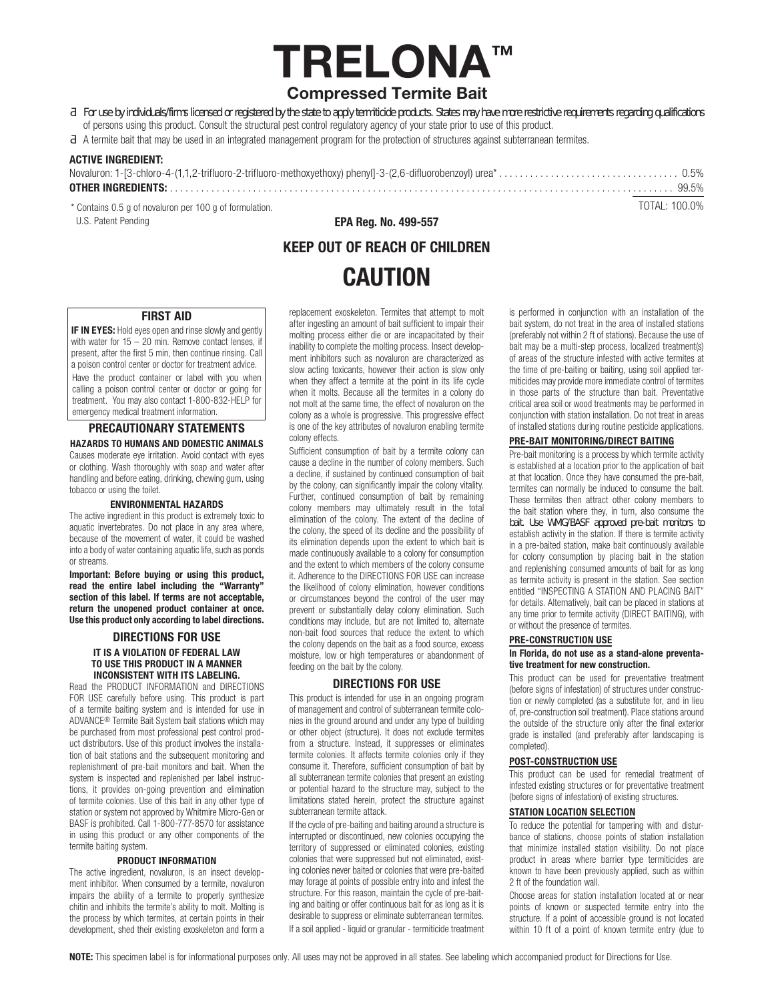# TRELONA™ Compressed Termite Bait

ofiqYVmJbXjJXIUqe2faq`JWbqYX'cffY[]gHYYX'VmH\Y'gHLH'hc'UddmHYfa]HWKY'dfcXI Vldtj"GHLHYqaUm\UjY'acfY'fYgffMdjY'fYei]fYaYbhqfY[UfXlb['eiU]ZMUHcbq' of persons using this product. Consult the structural pest control regulatory agency of your state prior to use of this product.

A termite bait that may be used in an integrated management program for the protection of structures against subterranean termites.

## ACTIVE INGREDIENT:

 TOTAL: 100.0% \* Contains 0.5 g of novaluron per 100 g of formulation. U.S. Patent Pending

EPA Reg. No. 499-557

## KEEP OUT OF REACH OF CHILDREN **CAUTION**

## FIRST AID

**IF IN EYES:** Hold eyes open and rinse slowly and gently with water for  $15 - 20$  min. Remove contact lenses, if present, after the first 5 min, then continue rinsing. Call a poison control center or doctor for treatment advice. Have the product container or label with you when calling a poison control center or doctor or going for treatment. You may also contact 1-800-832-HELP for emergency medical treatment information.

## PRECAUTIONARY STATEMENTS HAZARDS TO HUMANS AND DOMESTIC ANIMALS

Causes moderate eye irritation. Avoid contact with eyes or clothing. Wash thoroughly with soap and water after handling and before eating, drinking, chewing gum, using tobacco or using the toilet.

### ENVIRONMENTAL HAZARDS

The active ingredient in this product is extremely toxic to aquatic invertebrates. Do not place in any area where, because of the movement of water, it could be washed into a body of water containing aquatic life, such as ponds or streams.

Important: Before buying or using this product, read the entire label including the "Warranty" section of this label. If terms are not acceptable, return the unopened product container at once. Use this product only according to label directions.

## DIRECTIONS FOR USE IT IS A VIOLATION OF FEDERAL LAW TO USE THIS PRODUCT IN A MANNER INCONSISTENT WITH ITS LABELING.

Read the PRODUCT INFORMATION and DIRECTIONS FOR USE carefully before using. This product is part of a termite baiting system and is intended for use in ADVANCE® Termite Bait System bait stations which may be purchased from most professional pest control product distributors. Use of this product involves the installation of bait stations and the subsequent monitoring and replenishment of pre-bait monitors and bait. When the system is inspected and replenished per label instructions, it provides on-going prevention and elimination of termite colonies. Use of this bait in any other type of station or system not approved by Whitmire Micro-Gen or BASF is prohibited. Call 1-800-777-8570 for assistance in using this product or any other components of the termite baiting system.

## PRODUCT INFORMATION

The active ingredient, novaluron, is an insect development inhibitor. When consumed by a termite, novaluron impairs the ability of a termite to properly synthesize chitin and inhibits the termite's ability to molt. Molting is the process by which termites, at certain points in their development, shed their existing exoskeleton and form a

replacement exoskeleton. Termites that attempt to molt after ingesting an amount of bait sufficient to impair their molting process either die or are incapacitated by their inability to complete the molting process. Insect development inhibitors such as novaluron are characterized as slow acting toxicants, however their action is slow only when they affect a termite at the point in its life cycle when it molts. Because all the termites in a colony do not molt at the same time, the effect of novaluron on the colony as a whole is progressive. This progressive effect is one of the key attributes of novaluron enabling termite colony effects.

Sufficient consumption of bait by a termite colony can cause a decline in the number of colony members. Such a decline, if sustained by continued consumption of bait by the colony, can significantly impair the colony vitality. Further, continued consumption of bait by remaining colony members may ultimately result in the total elimination of the colony. The extent of the decline of the colony, the speed of its decline and the possibility of its elimination depends upon the extent to which bait is made continuously available to a colony for consumption and the extent to which members of the colony consume it. Adherence to the DIRECTIONS FOR USE can increase the likelihood of colony elimination, however conditions or circumstances beyond the control of the user may prevent or substantially delay colony elimination. Such conditions may include, but are not limited to, alternate non-bait food sources that reduce the extent to which the colony depends on the bait as a food source, excess moisture, low or high temperatures or abandonment of feeding on the bait by the colony.

## DIRECTIONS FOR USE

This product is intended for use in an ongoing program of management and control of subterranean termite colonies in the ground around and under any type of building or other object (structure). It does not exclude termites from a structure. Instead, it suppresses or eliminates termite colonies. It affects termite colonies only if they consume it. Therefore, sufficient consumption of bait by all subterranean termite colonies that present an existing or potential hazard to the structure may, subject to the limitations stated herein, protect the structure against subterranean termite attack.

If the cycle of pre-baiting and baiting around a structure is interrupted or discontinued, new colonies occupying the territory of suppressed or eliminated colonies, existing colonies that were suppressed but not eliminated, existing colonies never baited or colonies that were pre-baited may forage at points of possible entry into and infest the structure. For this reason, maintain the cycle of pre-baiting and baiting or offer continuous bait for as long as it is desirable to suppress or eliminate subterranean termites. If a soil applied - liquid or granular - termiticide treatment is performed in conjunction with an installation of the bait system, do not treat in the area of installed stations (preferably not within 2 ft of stations). Because the use of bait may be a multi-step process, localized treatment(s) of areas of the structure infested with active termites at the time of pre-baiting or baiting, using soil applied termiticides may provide more immediate control of termites in those parts of the structure than bait. Preventative critical area soil or wood treatments may be performed in conjunction with station installation. Do not treat in areas of installed stations during routine pesticide applications.

## PRE-BAIT MONITORING/DIRECT BAITING

Pre-bait monitoring is a process by which termite activity is established at a location prior to the application of bait at that location. Once they have consumed the pre-bait, termites can normally be induced to consume the bait. These termites then attract other colony members to the bait station where they, in turn, also consume the VUJH I gY K A ; #65G Uddfcj YX dfY! VUJh a cb]hcfg hc establish activity in the station. If there is termite activity in a pre-baited station, make bait continuously available for colony consumption by placing bait in the station and replenishing consumed amounts of bait for as long as termite activity is present in the station. See section entitled "INSPECTING A STATION AND PLACING BAIT" for details. Alternatively, bait can be placed in stations at any time prior to termite activity (DIRECT BAITING), with or without the presence of termites.

### PRE-CONSTRUCTION USE

### In Florida, do not use as a stand-alone preventative treatment for new construction.

This product can be used for preventative treatment (before signs of infestation) of structures under construction or newly completed (as a substitute for, and in lieu of, pre-construction soil treatment). Place stations around the outside of the structure only after the final exterior grade is installed (and preferably after landscaping is completed).

## POST-CONSTRUCTION USE

This product can be used for remedial treatment of infested existing structures or for preventative treatment (before signs of infestation) of existing structures.

## STATION LOCATION SELECTION

To reduce the potential for tampering with and disturbance of stations, choose points of station installation that minimize installed station visibility. Do not place product in areas where barrier type termiticides are known to have been previously applied, such as within 2 ft of the foundation wall.

Choose areas for station installation located at or near points of known or suspected termite entry into the structure. If a point of accessible ground is not located within 10 ft of a point of known termite entry (due to